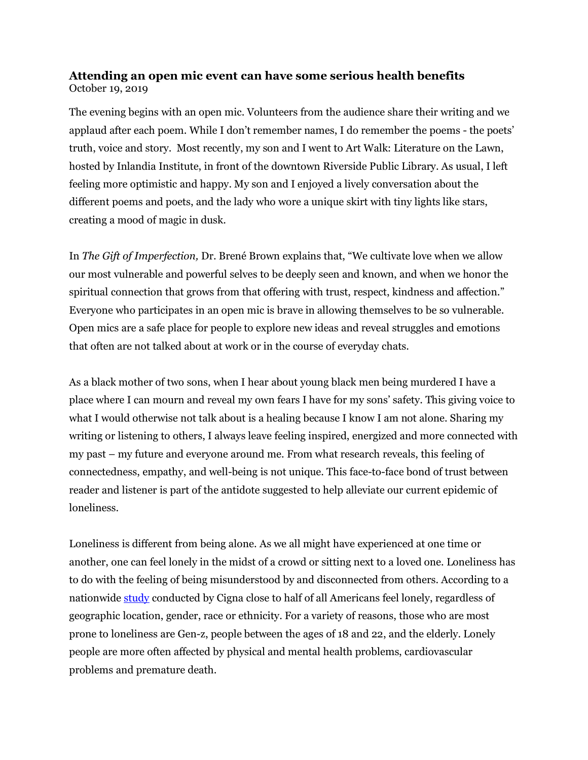## **Attending an open mic event can have some serious health benefits** October 19, 2019

The evening begins with an open mic. Volunteers from the audience share their writing and we applaud after each poem. While I don't remember names, I do remember the poems - the poets' truth, voice and story. Most recently, my son and I went to Art Walk: Literature on the Lawn, hosted by Inlandia Institute, in front of the downtown Riverside Public Library. As usual, I left feeling more optimistic and happy. My son and I enjoyed a lively conversation about the different poems and poets, and the lady who wore a unique skirt with tiny lights like stars, creating a mood of magic in dusk.

In *The Gift of Imperfection,* Dr. Brené Brown explains that, "We cultivate love when we allow our most vulnerable and powerful selves to be deeply seen and known, and when we honor the spiritual connection that grows from that offering with trust, respect, kindness and affection." Everyone who participates in an open mic is brave in allowing themselves to be so vulnerable. Open mics are a safe place for people to explore new ideas and reveal struggles and emotions that often are not talked about at work or in the course of everyday chats.

As a black mother of two sons, when I hear about young black men being murdered I have a place where I can mourn and reveal my own fears I have for my sons' safety. This giving voice to what I would otherwise not talk about is a healing because I know I am not alone. Sharing my writing or listening to others, I always leave feeling inspired, energized and more connected with my past – my future and everyone around me. From what research reveals, this feeling of connectedness, empathy, and well-being is not unique. This face-to-face bond of trust between reader and listener is part of the antidote suggested to help alleviate our current epidemic of loneliness.

Loneliness is different from being alone. As we all might have experienced at one time or another, one can feel lonely in the midst of a crowd or sitting next to a loved one. Loneliness has to do with the feeling of being misunderstood by and disconnected from others. According to a nationwide [study](https://www.cigna.com/about-us/newsroom/studies-and-reports/loneliness-epidemic-america) conducted by Cigna close to half of all Americans feel lonely, regardless of geographic location, gender, race or ethnicity. For a variety of reasons, those who are most prone to loneliness are Gen-z, people between the ages of 18 and 22, and the elderly. Lonely people are more often affected by physical and mental health problems, cardiovascular problems and premature death.